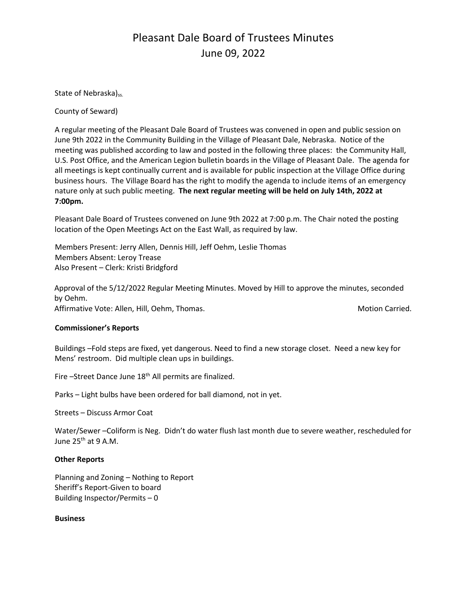## Pleasant Dale Board of Trustees Minutes June 09, 2022

State of Nebraska)<sub>ss.</sub>

County of Seward)

A regular meeting of the Pleasant Dale Board of Trustees was convened in open and public session on June 9th 2022 in the Community Building in the Village of Pleasant Dale, Nebraska. Notice of the meeting was published according to law and posted in the following three places: the Community Hall, U.S. Post Office, and the American Legion bulletin boards in the Village of Pleasant Dale. The agenda for all meetings is kept continually current and is available for public inspection at the Village Office during business hours. The Village Board has the right to modify the agenda to include items of an emergency nature only at such public meeting. **The next regular meeting will be held on July 14th, 2022 at 7:00pm.** 

Pleasant Dale Board of Trustees convened on June 9th 2022 at 7:00 p.m. The Chair noted the posting location of the Open Meetings Act on the East Wall, as required by law.

Members Present: Jerry Allen, Dennis Hill, Jeff Oehm, Leslie Thomas Members Absent: Leroy Trease Also Present – Clerk: Kristi Bridgford

Approval of the 5/12/2022 Regular Meeting Minutes. Moved by Hill to approve the minutes, seconded by Oehm. Affirmative Vote: Allen, Hill, Oehm, Thomas. Motion Carried. Motion Carried.

#### **Commissioner's Reports**

Buildings –Fold steps are fixed, yet dangerous. Need to find a new storage closet. Need a new key for Mens' restroom. Did multiple clean ups in buildings.

Fire –Street Dance June 18<sup>th</sup> All permits are finalized.

Parks – Light bulbs have been ordered for ball diamond, not in yet.

Streets – Discuss Armor Coat

Water/Sewer –Coliform is Neg. Didn't do water flush last month due to severe weather, rescheduled for June  $25<sup>th</sup>$  at 9 A.M.

#### **Other Reports**

Planning and Zoning – Nothing to Report Sheriff's Report-Given to board Building Inspector/Permits – 0

**Business**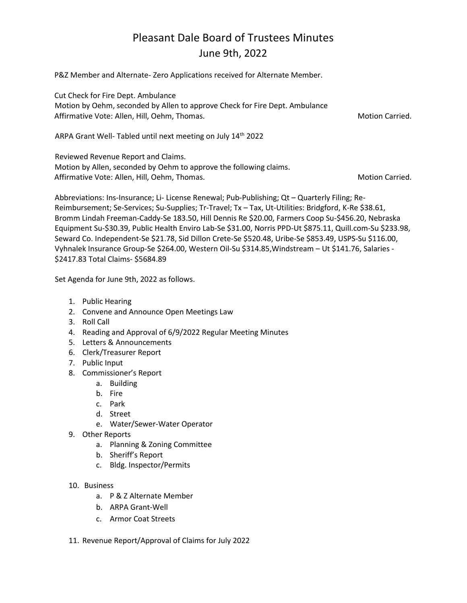# Pleasant Dale Board of Trustees Minutes June 9th, 2022

P&Z Member and Alternate- Zero Applications received for Alternate Member.

Cut Check for Fire Dept. Ambulance Motion by Oehm, seconded by Allen to approve Check for Fire Dept. Ambulance Affirmative Vote: Allen, Hill, Oehm, Thomas. And Motion Carried. Motion Carried.

ARPA Grant Well- Tabled until next meeting on July 14<sup>th</sup> 2022

Reviewed Revenue Report and Claims. Motion by Allen, seconded by Oehm to approve the following claims. Affirmative Vote: Allen, Hill, Oehm, Thomas. Motion Carried. Motion Carried.

Abbreviations: Ins-Insurance; Li- License Renewal; Pub-Publishing; Qt – Quarterly Filing; Re-Reimbursement; Se-Services; Su-Supplies; Tr-Travel; Tx – Tax, Ut-Utilities: Bridgford, K-Re \$38.61, Bromm Lindah Freeman-Caddy-Se 183.50, Hill Dennis Re \$20.00, Farmers Coop Su-\$456.20, Nebraska Equipment Su-\$30.39, Public Health Enviro Lab-Se \$31.00, Norris PPD-Ut \$875.11, Quill.com-Su \$233.98, Seward Co. Independent-Se \$21.78, Sid Dillon Crete-Se \$520.48, Uribe-Se \$853.49, USPS-Su \$116.00, Vyhnalek Insurance Group-Se \$264.00, Western Oil-Su \$314.85,Windstream – Ut \$141.76, Salaries - \$2417.83 Total Claims- \$5684.89

Set Agenda for June 9th, 2022 as follows.

- 1. Public Hearing
- 2. Convene and Announce Open Meetings Law
- 3. Roll Call
- 4. Reading and Approval of 6/9/2022 Regular Meeting Minutes
- 5. Letters & Announcements
- 6. Clerk/Treasurer Report
- 7. Public Input
- 8. Commissioner's Report
	- a. Building
	- b. Fire
	- c. Park
	- d. Street
	- e. Water/Sewer-Water Operator
- 9. Other Reports
	- a. Planning & Zoning Committee
	- b. Sheriff's Report
	- c. Bldg. Inspector/Permits
- 10. Business
	- a. P & Z Alternate Member
	- b. ARPA Grant-Well
	- c. Armor Coat Streets
- 11. Revenue Report/Approval of Claims for July 2022